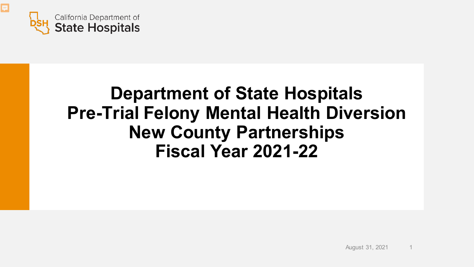

見

### **Department of State Hospitals Pre-Trial Felony Mental Health Diversion New County Partnerships Fiscal Year 2021-22**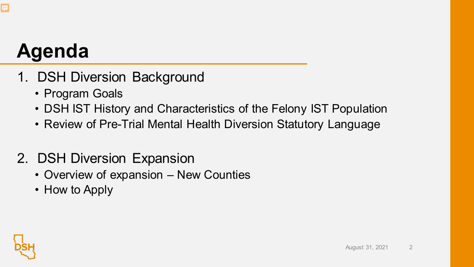# **Agenda**

- 1. DSH Diversion Background
	- Program Goals
	- DSH IST History and Characteristics of the Felony IST Population
	- Review of Pre-Trial Mental Health Diversion Statutory Language

#### 2. DSH Diversion Expansion

- Overview of expansion New Counties
- How to Apply

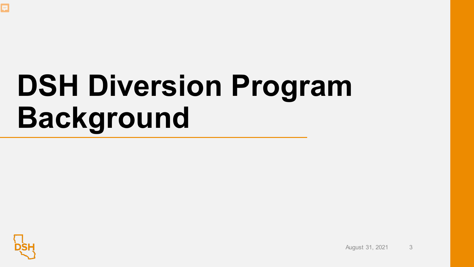

# **DSH Diversion Program Background**



August 31, 2021 3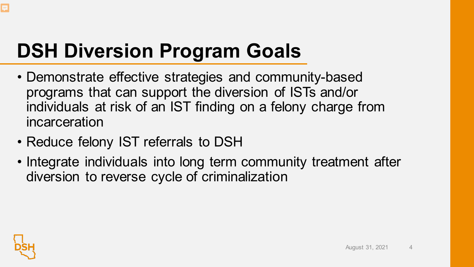# **DSH Diversion Program Goals**

- Demonstrate effective strategies and community-based programs that can support the diversion of ISTs and/or individuals at risk of an IST finding on a felony charge from incarceration
- Reduce felony IST referrals to DSH
- Integrate individuals into long term community treatment after diversion to reverse cycle of criminalization

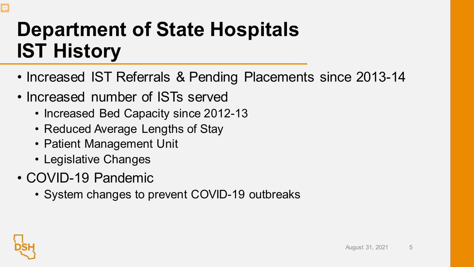## **Department of State Hospitals IST History**

- Increased IST Referrals & Pending Placements since 2013-14
- Increased number of ISTs served
	- Increased Bed Capacity since 2012-13
	- Reduced Average Lengths of Stay
	- Patient Management Unit
	- Legislative Changes
- COVID-19 Pandemic
	- System changes to prevent COVID-19 outbreaks

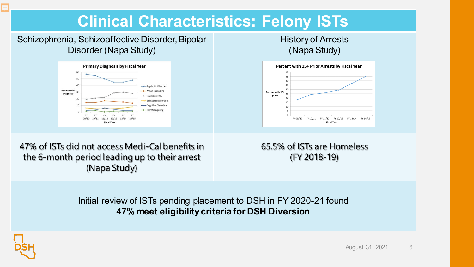#### **Clinical Characteristics: Felony ISTs**

Schizophrenia, Schizoaffective Disorder, Bipolar Disorder (Napa Study)



History of Arrests (Napa Study)



47% of ISTs did not access Medi-Cal benefits in the 6-month period leading up to their arrest (Napa Study)

65.5% of ISTs are Homeless (FY 2018-19)

Initial review of ISTs pending placement to DSH in FY 2020-21 found **47% meet eligibility criteria for DSH Diversion**

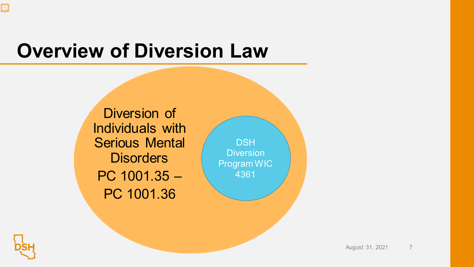### **Overview of Diversion Law**

Diversion of Individuals with Serious Mental **Disorders** PC 1001.35 – PC 1001.36

**DSH Diversion** Program WIC 4361



F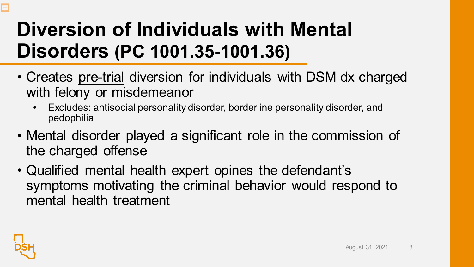# **Diversion of Individuals with Mental Disorders (PC 1001.35-1001.36)**

- Creates pre-trial diversion for individuals with DSM dx charged with felony or misdemeanor
	- Excludes: antisocial personality disorder, borderline personality disorder, and pedophilia
- Mental disorder played a significant role in the commission of the charged offense
- Qualified mental health expert opines the defendant's symptoms motivating the criminal behavior would respond to mental health treatment

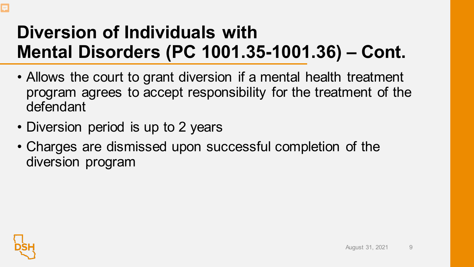### **Diversion of Individuals with Mental Disorders (PC 1001.35-1001.36) – Cont.**

- Allows the court to grant diversion if a mental health treatment program agrees to accept responsibility for the treatment of the defendant
- Diversion period is up to 2 years
- Charges are dismissed upon successful completion of the diversion program



F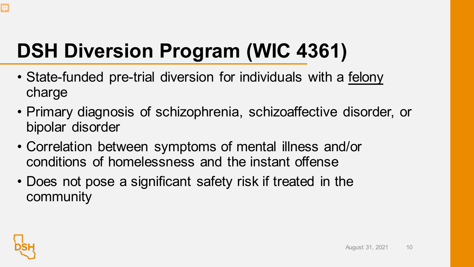# **DSH Diversion Program (WIC 4361)**

- State-funded pre-trial diversion for individuals with a felony charge
- Primary diagnosis of schizophrenia, schizoaffective disorder, or bipolar disorder
- Correlation between symptoms of mental illness and/or conditions of homelessness and the instant offense
- Does not pose a significant safety risk if treated in the community

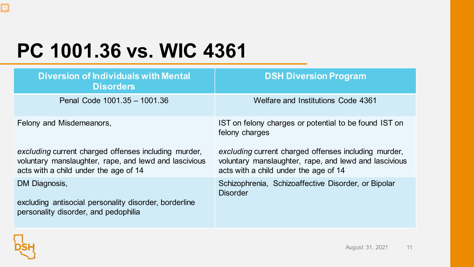# **PC 1001.36 vs. WIC 4361**

| <b>Diversion of Individuals with Mental</b><br><b>Disorders</b>                                                                                        | <b>DSH Diversion Program</b>                                                                                                                           |  |
|--------------------------------------------------------------------------------------------------------------------------------------------------------|--------------------------------------------------------------------------------------------------------------------------------------------------------|--|
| Penal Code 1001.35 - 1001.36                                                                                                                           | Welfare and Institutions Code 4361                                                                                                                     |  |
| Felony and Misdemeanors,                                                                                                                               | IST on felony charges or potential to be found IST on<br>felony charges                                                                                |  |
| excluding current charged offenses including murder,<br>voluntary manslaughter, rape, and lewd and lascivious<br>acts with a child under the age of 14 | excluding current charged offenses including murder,<br>voluntary manslaughter, rape, and lewd and lascivious<br>acts with a child under the age of 14 |  |
| DM Diagnosis,<br>excluding antisocial personality disorder, borderline<br>personality disorder, and pedophilia                                         | Schizophrenia, Schizoaffective Disorder, or Bipolar<br><b>Disorder</b>                                                                                 |  |

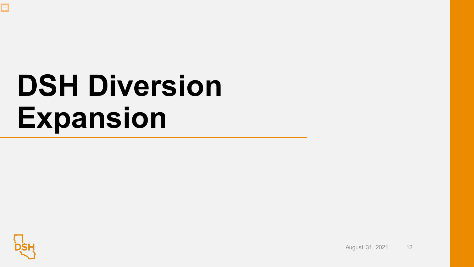

# **DSH Diversion Expansion**



August 31, 2021 12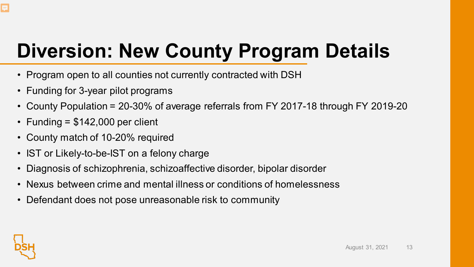# **Diversion: New County Program Details**

- Program open to all counties not currently contracted with DSH
- Funding for 3-year pilot programs
- County Population = 20-30% of average referrals from FY 2017-18 through FY 2019-20
- Funding  $= $142,000$  per client
- County match of 10-20% required
- IST or Likely-to-be-IST on a felony charge
- Diagnosis of schizophrenia, schizoaffective disorder, bipolar disorder
- Nexus between crime and mental illness or conditions of homelessness
- Defendant does not pose unreasonable risk to community

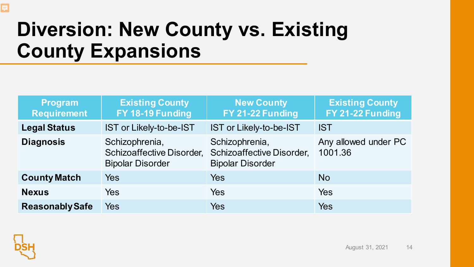## **Diversion: New County vs. Existing County Expansions**

| <b>Program</b><br><b>Requirement</b> | <b>Existing County</b><br>FY 18-19 Funding                             | <b>New County</b><br>FY 21-22 Funding                                  | <b>Existing County</b><br>FY 21-22 Funding |
|--------------------------------------|------------------------------------------------------------------------|------------------------------------------------------------------------|--------------------------------------------|
| <b>Legal Status</b>                  | IST or Likely-to-be-IST                                                | IST or Likely-to-be-IST                                                | <b>IST</b>                                 |
| <b>Diagnosis</b>                     | Schizophrenia,<br>Schizoaffective Disorder,<br><b>Bipolar Disorder</b> | Schizophrenia,<br>Schizoaffective Disorder,<br><b>Bipolar Disorder</b> | Any allowed under PC<br>1001.36            |
| <b>County Match</b>                  | <b>Yes</b>                                                             | Yes                                                                    | <b>No</b>                                  |
| <b>Nexus</b>                         | <b>Yes</b>                                                             | Yes                                                                    | Yes                                        |
| <b>Reasonably Safe</b>               | Yes                                                                    | Yes                                                                    | <b>Yes</b>                                 |



E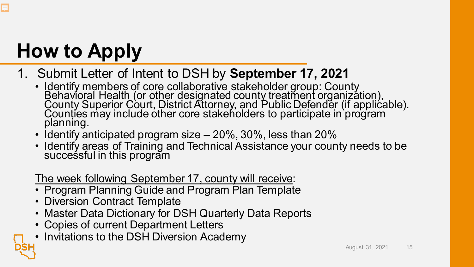# **How to Apply**

#### 1. Submit Letter of Intent to DSH by **September 17, 2021**

- Identify members of core collaborative stakeholder group: County Behavioral Health (or other designated county treatment organization), County Superior Court, District Attorney, and Public Defender (if applicable). Counties may include other core stakeholders to participate in program planning.
- Identify anticipated program size 20%, 30%, less than 20%
- Identify areas of Training and Technical Assistance your county needs to be succeśsful in this program

The week following September 17, county will receive:

- Program Planning Guide and Program Plan Template
- Diversion Contract Template
- Master Data Dictionary for DSH Quarterly Data Reports
- Copies of current Department Letters
- Invitations to the DSH Diversion Academy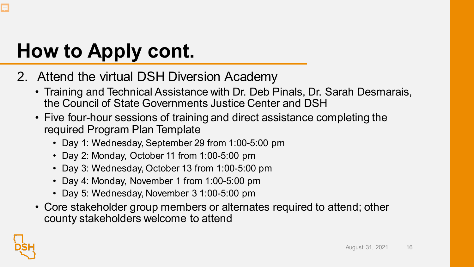# **How to Apply cont.**

- 2. Attend the virtual DSH Diversion Academy
	- Training and Technical Assistance with Dr. Deb Pinals, Dr. Sarah Desmarais, the Council of State Governments Justice Center and DSH
	- Five four-hour sessions of training and direct assistance completing the required Program Plan Template
		- Day 1: Wednesday, September 29 from 1:00-5:00 pm
		- Day 2: Monday, October 11 from 1:00-5:00 pm
		- Day 3: Wednesday, October 13 from 1:00-5:00 pm
		- Day 4: Monday, November 1 from 1:00-5:00 pm
		- Day 5: Wednesday, November 3 1:00-5:00 pm
	- Core stakeholder group members or alternates required to attend; other county stakeholders welcome to attend

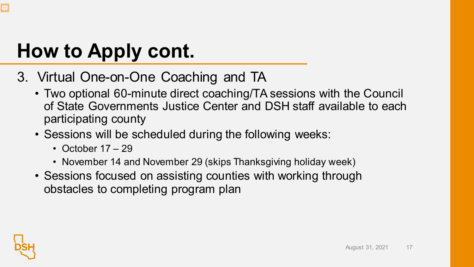# **How to Apply cont.**

- 3. Virtual One-on-One Coaching and TA
	- Two optional 60-minute direct coaching/TA sessions with the Council of State Governments Justice Center and DSH staff available to each participating county
	- Sessions will be scheduled during the following weeks:
		- October 17 29
		- November 14 and November 29 (skips Thanksgiving holiday week)
	- Sessions focused on assisting counties with working through obstacles to completing program plan

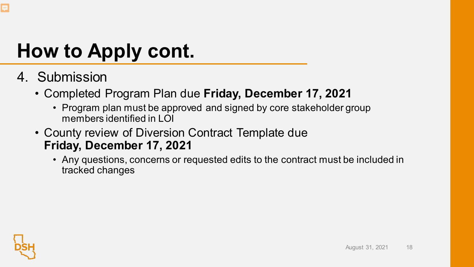# **How to Apply cont.**

- 4. Submission
	- Completed Program Plan due **Friday, December 17, 2021**
		- Program plan must be approved and signed by core stakeholder group members identified in LOI
	- County review of Diversion Contract Template due **Friday, December 17, 2021**
		- Any questions, concerns or requested edits to the contract must be included in tracked changes



**F**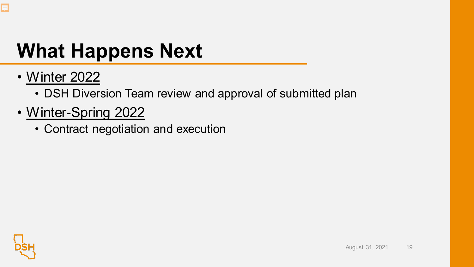

### **What Happens Next**

- Winter 2022
	- DSH Diversion Team review and approval of submitted plan
- Winter-Spring 2022
	- Contract negotiation and execution